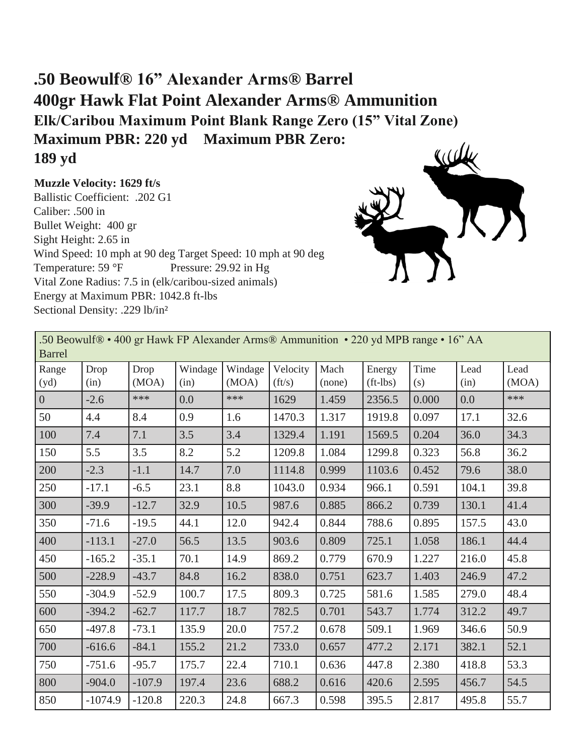## **.50 Beowulf® 16" Alexander Arms® Barrel 400gr Hawk Flat Point Alexander Arms® Ammunition Elk/Caribou Maximum Point Blank Range Zero (15" Vital Zone) Maximum PBR: 220 yd Maximum PBR Zero: 189 yd**

**Muzzle Velocity: 1629 ft/s**

Ballistic Coefficient: .202 G1 Caliber: .500 in Bullet Weight: 400 gr Sight Height: 2.65 in Wind Speed: 10 mph at 90 deg Target Speed: 10 mph at 90 deg Temperature: 59 °F Pressure: 29.92 in Hg Vital Zone Radius: 7.5 in (elk/caribou-sized animals) Energy at Maximum PBR: 1042.8 ft-lbs Sectional Density: .229 lb/in²



| .50 Beowulf® • 400 gr Hawk FP Alexander Arms® Ammunition • 220 yd MPB range • 16" AA<br><b>Barrel</b> |              |               |                 |                  |                            |                |                        |             |              |               |  |
|-------------------------------------------------------------------------------------------------------|--------------|---------------|-----------------|------------------|----------------------------|----------------|------------------------|-------------|--------------|---------------|--|
| Range<br>(yd)                                                                                         | Drop<br>(in) | Drop<br>(MOA) | Windage<br>(in) | Windage<br>(MOA) | Velocity<br>$({\rm ft/s})$ | Mach<br>(none) | Energy<br>$(ft - lbs)$ | Time<br>(s) | Lead<br>(in) | Lead<br>(MOA) |  |
| $\overline{0}$                                                                                        | $-2.6$       | $***$         | 0.0             | ***              | 1629                       | 1.459          | 2356.5                 | 0.000       | 0.0          | ***           |  |
| 50                                                                                                    | 4.4          | 8.4           | 0.9             | 1.6              | 1470.3                     | 1.317          | 1919.8                 | 0.097       | 17.1         | 32.6          |  |
| 100                                                                                                   | 7.4          | 7.1           | 3.5             | 3.4              | 1329.4                     | 1.191          | 1569.5                 | 0.204       | 36.0         | 34.3          |  |
| 150                                                                                                   | 5.5          | 3.5           | 8.2             | 5.2              | 1209.8                     | 1.084          | 1299.8                 | 0.323       | 56.8         | 36.2          |  |
| 200                                                                                                   | $-2.3$       | $-1.1$        | 14.7            | 7.0              | 1114.8                     | 0.999          | 1103.6                 | 0.452       | 79.6         | 38.0          |  |
| 250                                                                                                   | $-17.1$      | $-6.5$        | 23.1            | 8.8              | 1043.0                     | 0.934          | 966.1                  | 0.591       | 104.1        | 39.8          |  |
| 300                                                                                                   | $-39.9$      | $-12.7$       | 32.9            | 10.5             | 987.6                      | 0.885          | 866.2                  | 0.739       | 130.1        | 41.4          |  |
| 350                                                                                                   | $-71.6$      | $-19.5$       | 44.1            | 12.0             | 942.4                      | 0.844          | 788.6                  | 0.895       | 157.5        | 43.0          |  |
| 400                                                                                                   | $-113.1$     | $-27.0$       | 56.5            | 13.5             | 903.6                      | 0.809          | 725.1                  | 1.058       | 186.1        | 44.4          |  |
| 450                                                                                                   | $-165.2$     | $-35.1$       | 70.1            | 14.9             | 869.2                      | 0.779          | 670.9                  | 1.227       | 216.0        | 45.8          |  |
| 500                                                                                                   | $-228.9$     | $-43.7$       | 84.8            | 16.2             | 838.0                      | 0.751          | 623.7                  | 1.403       | 246.9        | 47.2          |  |
| 550                                                                                                   | $-304.9$     | $-52.9$       | 100.7           | 17.5             | 809.3                      | 0.725          | 581.6                  | 1.585       | 279.0        | 48.4          |  |
| 600                                                                                                   | $-394.2$     | $-62.7$       | 117.7           | 18.7             | 782.5                      | 0.701          | 543.7                  | 1.774       | 312.2        | 49.7          |  |
| 650                                                                                                   | $-497.8$     | $-73.1$       | 135.9           | 20.0             | 757.2                      | 0.678          | 509.1                  | 1.969       | 346.6        | 50.9          |  |
| 700                                                                                                   | $-616.6$     | $-84.1$       | 155.2           | 21.2             | 733.0                      | 0.657          | 477.2                  | 2.171       | 382.1        | 52.1          |  |
| 750                                                                                                   | $-751.6$     | $-95.7$       | 175.7           | 22.4             | 710.1                      | 0.636          | 447.8                  | 2.380       | 418.8        | 53.3          |  |
| 800                                                                                                   | $-904.0$     | $-107.9$      | 197.4           | 23.6             | 688.2                      | 0.616          | 420.6                  | 2.595       | 456.7        | 54.5          |  |
| 850                                                                                                   | $-1074.9$    | $-120.8$      | 220.3           | 24.8             | 667.3                      | 0.598          | 395.5                  | 2.817       | 495.8        | 55.7          |  |